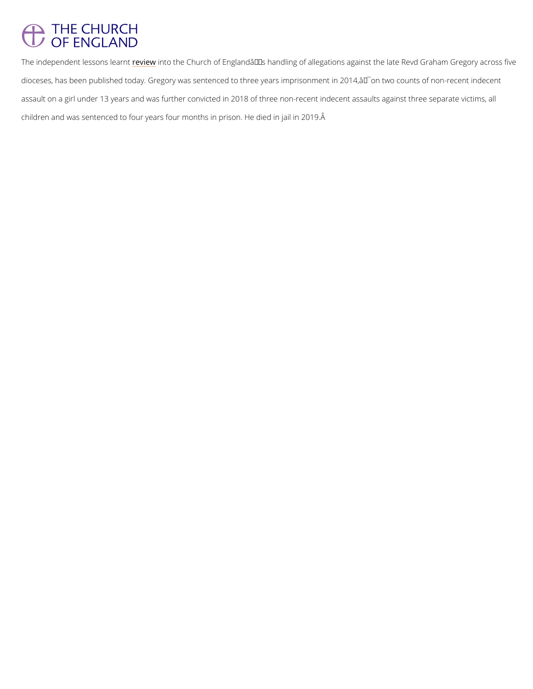# THE CHURCH<br>OF ENGLAND

The independent les<mark>senise whetaanthe Church of England's handling of allegations against the</mark> dioceses, has been published today. Gregory was sentenced to three years imprisonment in 2 assault on a girl under 13 years and was further convicted in 2018 of three non-recent indec children and was sentenced to four years four months in prison. He died in jail in 2019.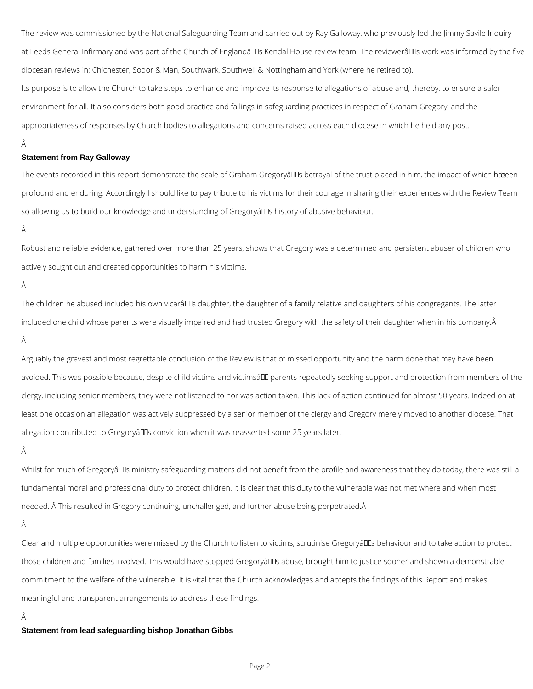The review was commissioned by the National Safeguarding Team and carried out by Ray Galloway, who previously led the Jimmy Savile Inquiry at Leeds General Infirmary and was part of the Church of Englandâll Bs Kendal House review team. The reviewerâll Ds work was informed by the five diocesan reviews in; Chichester, Sodor & Man, Southwark, Southwell & Nottingham and York (where he retired to).

Its purpose is to allow the Church to take steps to enhance and improve its response to allegations of abuse and, thereby, to ensure a safer environment for all. It also considers both good practice and failings in safeguarding practices in respect of Graham Gregory, and the appropriateness of responses by Church bodies to allegations and concerns raised across each diocese in which he held any post.

## Â

## **Statement from Ray Galloway**

The events recorded in this report demonstrate the scale of Graham Gregoryâll as betrayal of the trust placed in him, the impact of which has een profound and enduring. Accordingly I should like to pay tribute to his victims for their courage in sharing their experiences with the Review Team so allowing us to build our knowledge and understanding of Gregorya<sup>nd</sup>s history of abusive behaviour.

### Â

Arguably the gravest and most regrettable conclusion of the Review is that of missed opportunity and the harm done that may have been avoided. This was possible because, despite child victims and victimsâ DD parents repeatedly seeking support and protection from members of the clergy, including senior members, they were not listened to nor was action taken. This lack of action continued for almost 50 years. Indeed on at least one occasion an allegation was actively suppressed by a senior member of the clergy and Gregory merely moved to another diocese. That allegation contributed to Gregoryâlls conviction when it was reasserted some 25 years later.

## Â

Whilst for much of Gregorya<sup>ll</sup>s ministry safeguarding matters did not benefit from the profile and awareness that they do today, there was still a fundamental moral and professional duty to protect children. It is clear that this duty to the vulnerable was not met where and when most needed. Â This resulted in Gregory continuing, unchallenged, and further abuse being perpetrated.Â

Clear and multiple opportunities were missed by the Church to listen to victims, scrutinise Gregoryâll b behaviour and to take action to protect

those children and families involved. This would have stopped Gregoryâll abuse, brought him to justice sooner and shown a demonstrable

Robust and reliable evidence, gathered over more than 25 years, shows that Gregory was a determined and persistent abuser of children who actively sought out and created opportunities to harm his victims.

## Â

The children he abused included his own vicarâlles daughter, the daughter of a family relative and daughters of his congregants. The latter included one child whose parents were visually impaired and had trusted Gregory with the safety of their daughter when in his company. Â

commitment to the welfare of the vulnerable. It is vital that the Church acknowledges and accepts the findings of this Report and makes

meaningful and transparent arrangements to address these findings.

# Â

**Statement from lead safeguarding bishop Jonathan Gibbs**